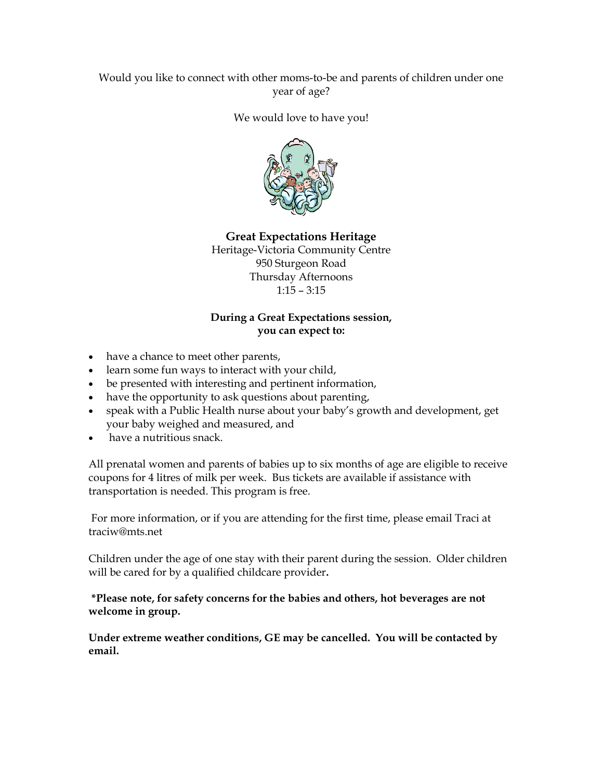## Would you like to connect with other moms-to-be and parents of children under one year of age?

#### We would love to have you!



Great Expectations Heritage Heritage-Victoria Community Centre 950 Sturgeon Road Thursday Afternoons 1:15 – 3:15

#### During a Great Expectations session, you can expect to:

- have a chance to meet other parents,
- learn some fun ways to interact with your child,
- be presented with interesting and pertinent information,
- have the opportunity to ask questions about parenting,
- speak with a Public Health nurse about your baby's growth and development, get your baby weighed and measured, and
- have a nutritious snack.

All prenatal women and parents of babies up to six months of age are eligible to receive coupons for 4 litres of milk per week. Bus tickets are available if assistance with transportation is needed. This program is free.

 For more information, or if you are attending for the first time, please email Traci at traciw@mts.net

Children under the age of one stay with their parent during the session. Older children will be cared for by a qualified childcare provider.

### \*Please note, for safety concerns for the babies and others, hot beverages are not welcome in group.

Under extreme weather conditions, GE may be cancelled. You will be contacted by email.